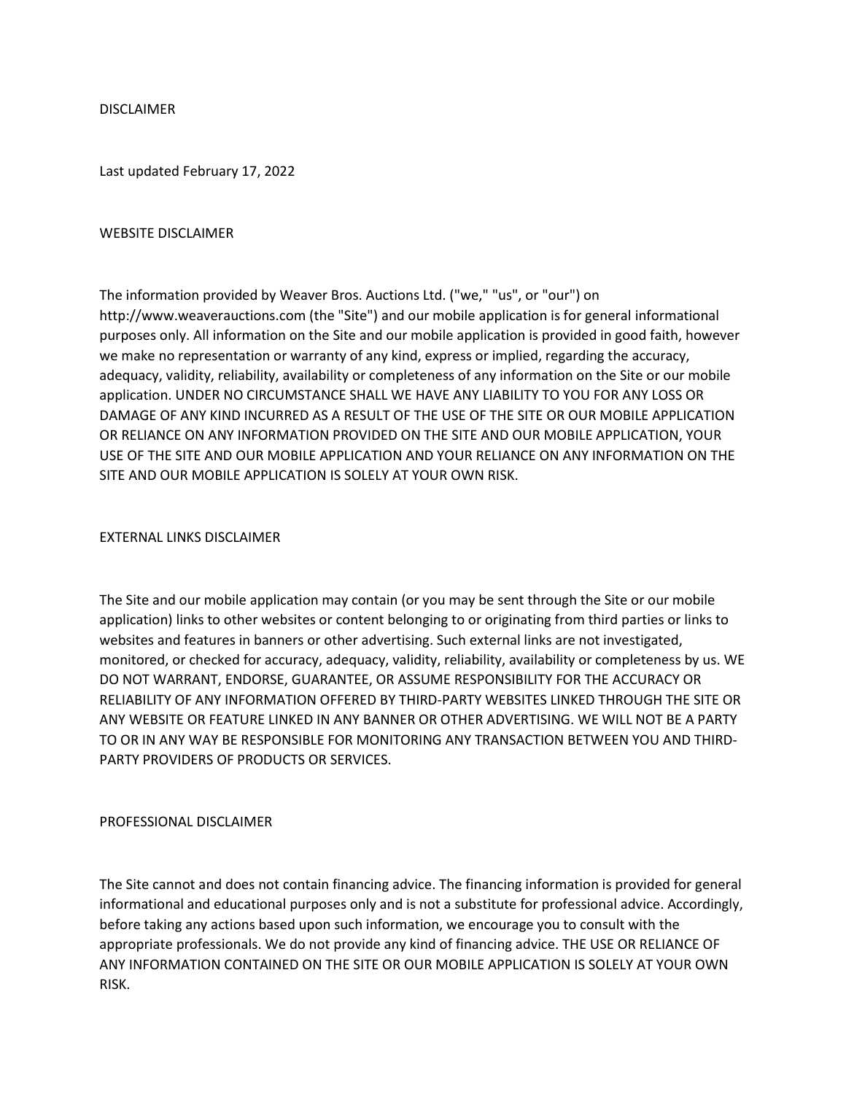DISCLAIMER

Last updated February 17, 2022

#### WEBSITE DISCLAIMER

The information provided by Weaver Bros. Auctions Ltd. ("we," "us", or "our") on http://www.weaverauctions.com (the "Site") and our mobile application is for general informational purposes only. All information on the Site and our mobile application is provided in good faith, however we make no representation or warranty of any kind, express or implied, regarding the accuracy, adequacy, validity, reliability, availability or completeness of any information on the Site or our mobile application. UNDER NO CIRCUMSTANCE SHALL WE HAVE ANY LIABILITY TO YOU FOR ANY LOSS OR DAMAGE OF ANY KIND INCURRED AS A RESULT OF THE USE OF THE SITE OR OUR MOBILE APPLICATION OR RELIANCE ON ANY INFORMATION PROVIDED ON THE SITE AND OUR MOBILE APPLICATION, YOUR USE OF THE SITE AND OUR MOBILE APPLICATION AND YOUR RELIANCE ON ANY INFORMATION ON THE SITE AND OUR MOBILE APPLICATION IS SOLELY AT YOUR OWN RISK.

### EXTERNAL LINKS DISCLAIMER

The Site and our mobile application may contain (or you may be sent through the Site or our mobile application) links to other websites or content belonging to or originating from third parties or links to websites and features in banners or other advertising. Such external links are not investigated, monitored, or checked for accuracy, adequacy, validity, reliability, availability or completeness by us. WE DO NOT WARRANT, ENDORSE, GUARANTEE, OR ASSUME RESPONSIBILITY FOR THE ACCURACY OR RELIABILITY OF ANY INFORMATION OFFERED BY THIRD-PARTY WEBSITES LINKED THROUGH THE SITE OR ANY WEBSITE OR FEATURE LINKED IN ANY BANNER OR OTHER ADVERTISING. WE WILL NOT BE A PARTY TO OR IN ANY WAY BE RESPONSIBLE FOR MONITORING ANY TRANSACTION BETWEEN YOU AND THIRD-PARTY PROVIDERS OF PRODUCTS OR SERVICES.

### PROFESSIONAL DISCLAIMER

The Site cannot and does not contain financing advice. The financing information is provided for general informational and educational purposes only and is not a substitute for professional advice. Accordingly, before taking any actions based upon such information, we encourage you to consult with the appropriate professionals. We do not provide any kind of financing advice. THE USE OR RELIANCE OF ANY INFORMATION CONTAINED ON THE SITE OR OUR MOBILE APPLICATION IS SOLELY AT YOUR OWN RISK.